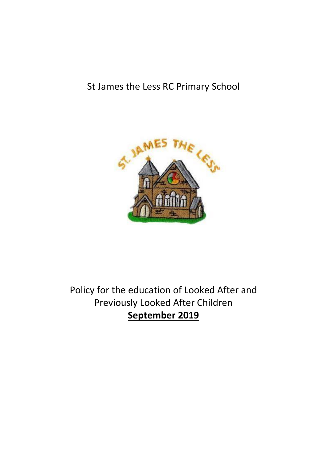# St James the Less RC Primary School



# Policy for the education of Looked After and Previously Looked After Children **September 2019**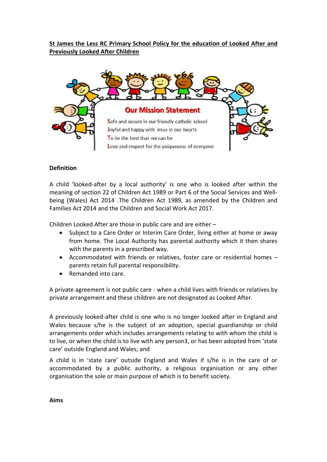# **St James the Less RC Primary School Policy for the education of Looked After and Previously Looked After Children**



## **Definition**

A child 'looked-after by a local authority' is one who is looked after within the meaning of section 22 of Children Act 1989 or Part 6 of the Social Services and Wellbeing (Wales) Act 2014 .The Children Act 1989, as amended by the Children and Families Act 2014 and the Children and Social Work Act 2017.

Children Looked After are those in public care and are either –

- Subject to a Care Order or Interim Care Order, living either at home or away from home. The Local Authority has parental authority which it then shares with the parents in a prescribed way.
- Accommodated with friends or relatives, foster care or residential homes parents retain full parental responsibility.
- Remanded into care.

A private agreement is not public care - when a child lives with friends or relatives by private arrangement and these children are not designated as Looked After.

A previously looked-after child is one who is no longer looked after in England and Wales because s/he is the subject of an adoption, special guardianship or child arrangements order which includes arrangements relating to with whom the child is to live, or when the child is to live with any person3, or has been adopted from 'state care' outside England and Wales; and

A child is in 'state care' outside England and Wales if s/he is in the care of or accommodated by a public authority, a religious organisation or any other organisation the sole or main purpose of which is to benefit society.

**Aims**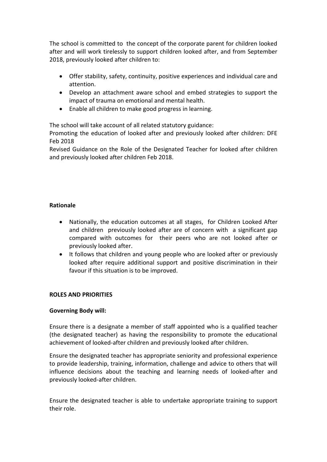The school is committed to the concept of the corporate parent for children looked after and will work tirelessly to support children looked after, and from September 2018, previously looked after children to:

- Offer stability, safety, continuity, positive experiences and individual care and attention.
- Develop an attachment aware school and embed strategies to support the impact of trauma on emotional and mental health.
- Enable all children to make good progress in learning.

The school will take account of all related statutory guidance:

Promoting the education of looked after and previously looked after children: DFE Feb 2018

Revised Guidance on the Role of the Designated Teacher for looked after children and previously looked after children Feb 2018.

### **Rationale**

- Nationally, the education outcomes at all stages, for Children Looked After and children previously looked after are of concern with a significant gap compared with outcomes for their peers who are not looked after or previously looked after.
- It follows that children and young people who are looked after or previously looked after require additional support and positive discrimination in their favour if this situation is to be improved.

### **ROLES AND PRIORITIES**

#### **Governing Body will:**

Ensure there is a designate a member of staff appointed who is a qualified teacher (the designated teacher) as having the responsibility to promote the educational achievement of looked-after children and previously looked after children.

Ensure the designated teacher has appropriate seniority and professional experience to provide leadership, training, information, challenge and advice to others that will influence decisions about the teaching and learning needs of looked-after and previously looked-after children.

Ensure the designated teacher is able to undertake appropriate training to support their role.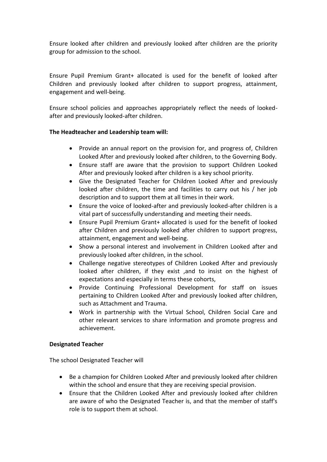Ensure looked after children and previously looked after children are the priority group for admission to the school.

Ensure Pupil Premium Grant+ allocated is used for the benefit of looked after Children and previously looked after children to support progress, attainment, engagement and well-being.

Ensure school policies and approaches appropriately reflect the needs of lookedafter and previously looked-after children.

#### **The Headteacher and Leadership team will:**

- Provide an annual report on the provision for, and progress of, Children Looked After and previously looked after children, to the Governing Body.
- Ensure staff are aware that the provision to support Children Looked After and previously looked after children is a key school priority.
- Give the Designated Teacher for Children Looked After and previously looked after children, the time and facilities to carry out his / her job description and to support them at all times in their work.
- Ensure the voice of looked-after and previously looked-after children is a vital part of successfully understanding and meeting their needs.
- Ensure Pupil Premium Grant+ allocated is used for the benefit of looked after Children and previously looked after children to support progress, attainment, engagement and well-being.
- Show a personal interest and involvement in Children Looked after and previously looked after children, in the school.
- Challenge negative stereotypes of Children Looked After and previously looked after children, if they exist ,and to insist on the highest of expectations and especially in terms these cohorts,
- Provide Continuing Professional Development for staff on issues pertaining to Children Looked After and previously looked after children, such as Attachment and Trauma.
- Work in partnership with the Virtual School, Children Social Care and other relevant services to share information and promote progress and achievement.

#### **Designated Teacher**

The school Designated Teacher will

- Be a champion for Children Looked After and previously looked after children within the school and ensure that they are receiving special provision.
- Ensure that the Children Looked After and previously looked after children are aware of who the Designated Teacher is, and that the member of staff's role is to support them at school.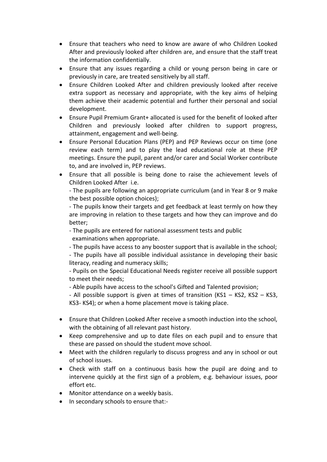- Ensure that teachers who need to know are aware of who Children Looked After and previously looked after children are, and ensure that the staff treat the information confidentially.
- Ensure that any issues regarding a child or young person being in care or previously in care, are treated sensitively by all staff.
- Ensure Children Looked After and children previously looked after receive extra support as necessary and appropriate, with the key aims of helping them achieve their academic potential and further their personal and social development.
- Ensure Pupil Premium Grant+ allocated is used for the benefit of looked after Children and previously looked after children to support progress, attainment, engagement and well-being.
- Ensure Personal Education Plans (PEP) and PEP Reviews occur on time (one review each term) and to play the lead educational role at these PEP meetings. Ensure the pupil, parent and/or carer and Social Worker contribute to, and are involved in, PEP reviews.
- Ensure that all possible is being done to raise the achievement levels of Children Looked After i.e.

- The pupils are following an appropriate curriculum (and in Year 8 or 9 make the best possible option choices);

- The pupils know their targets and get feedback at least termly on how they are improving in relation to these targets and how they can improve and do better;

- The pupils are entered for national assessment tests and public examinations when appropriate.
- The pupils have access to any booster support that is available in the school;

- The pupils have all possible individual assistance in developing their basic literacy, reading and numeracy skills;

- Pupils on the Special Educational Needs register receive all possible support to meet their needs;

- Able pupils have access to the school's Gifted and Talented provision;

- All possible support is given at times of transition (KS1 – KS2, KS2 – KS3, KS3- KS4); or when a home placement move is taking place.

- Ensure that Children Looked After receive a smooth induction into the school, with the obtaining of all relevant past history.
- Keep comprehensive and up to date files on each pupil and to ensure that these are passed on should the student move school.
- Meet with the children regularly to discuss progress and any in school or out of school issues.
- Check with staff on a continuous basis how the pupil are doing and to intervene quickly at the first sign of a problem, e.g. behaviour issues, poor effort etc.
- Monitor attendance on a weekly basis.
- In secondary schools to ensure that:-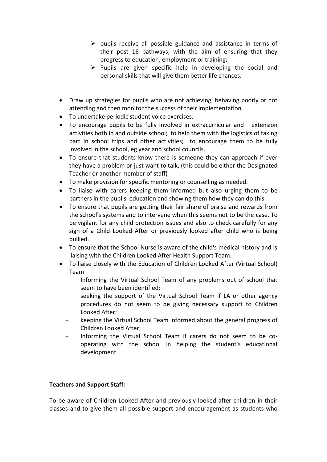- $\triangleright$  pupils receive all possible guidance and assistance in terms of their post 16 pathways, with the aim of ensuring that they progress to education, employment or training;
- $\triangleright$  Pupils are given specific help in developing the social and personal skills that will give them better life chances.
- Draw up strategies for pupils who are not achieving, behaving poorly or not attending and then monitor the success of their implementation.
- To undertake periodic student voice exercises.
- To encourage pupils to be fully involved in extracurricular and extension activities both in and outside school; to help them with the logistics of taking part in school trips and other activities; to encourage them to be fully involved in the school, eg year and school councils.
- To ensure that students know there is someone they can approach if ever they have a problem or just want to talk, (this could be either the Designated Teacher or another member of staff)
- To make provision for specific mentoring or counselling as needed.
- To liaise with carers keeping them informed but also urging them to be partners in the pupils' education and showing them how they can do this.
- To ensure that pupils are getting their fair share of praise and rewards from the school's systems and to intervene when this seems not to be the case. To be vigilant for any child protection issues and also to check carefully for any sign of a Child Looked After or previously looked after child who is being bullied.
- To ensure that the School Nurse is aware of the child's medical history and is liaising with the Children Looked After Health Support Team.
- To liaise closely with the Education of Children Looked After (Virtual School) Team
	- Informing the Virtual School Team of any problems out of school that seem to have been identified;
	- seeking the support of the Virtual School Team if LA or other agency procedures do not seem to be giving necessary support to Children Looked After;
	- keeping the Virtual School Team informed about the general progress of Children Looked After;
	- Informing the Virtual School Team if carers do not seem to be cooperating with the school in helping the student's educational development.

### **Teachers and Support Staff:**

To be aware of Children Looked After and previously looked after children in their classes and to give them all possible support and encouragement as students who